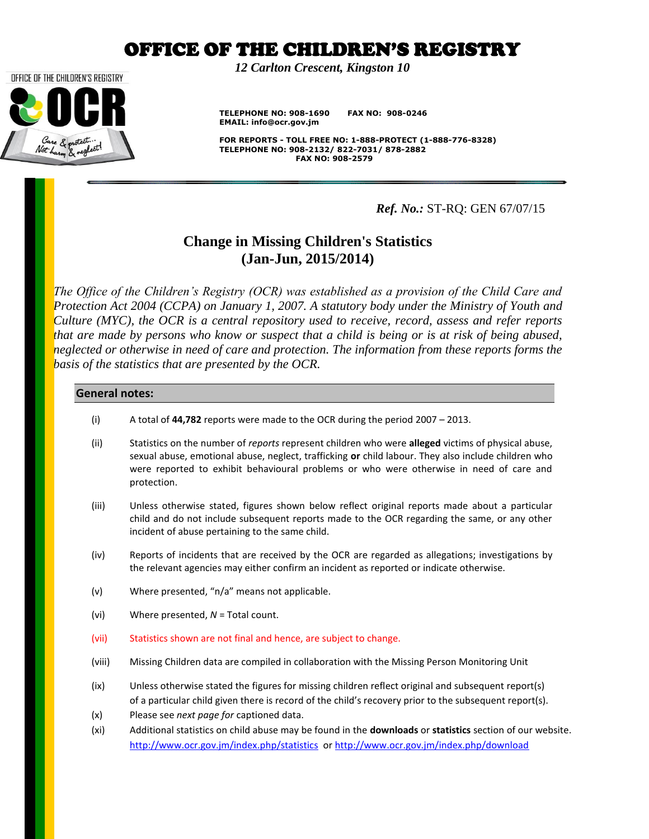*12 Carlton Crescent, Kingston 10*

 **TELEPHONE NO: 908-1690 FAX NO: 908-0246 EMAIL: info@ocr.gov.jm**

 **FOR REPORTS - TOLL FREE NO: 1-888-PROTECT (1-888-776-8328) TELEPHONE NO: 908-2132/ 822-7031/ 878-2882 FAX NO: 908-2579**

#### *Ref. No.:* ST-RQ: GEN 67/07/15

### **Change in Missing Children's Statistics (Jan-Jun, 2015/2014)**

*The Office of the Children's Registry (OCR) was established as a provision of the Child Care and Protection Act 2004 (CCPA) on January 1, 2007. A statutory body under the Ministry of Youth and Culture (MYC), the OCR is a central repository used to receive, record, assess and refer reports that are made by persons who know or suspect that a child is being or is at risk of being abused, neglected or otherwise in need of care and protection. The information from these reports forms the basis of the statistics that are presented by the OCR.* 

#### **General notes:**

OFFICE OF THE CHILDREN'S REGISTRY

- (i) A total of **44,782** reports were made to the OCR during the period 2007 2013.
- (ii) Statistics on the number of *reports* represent children who were **alleged** victims of physical abuse, sexual abuse, emotional abuse, neglect, trafficking **or** child labour. They also include children who were reported to exhibit behavioural problems or who were otherwise in need of care and protection.
- (iii) Unless otherwise stated, figures shown below reflect original reports made about a particular child and do not include subsequent reports made to the OCR regarding the same, or any other incident of abuse pertaining to the same child.
- (iv) Reports of incidents that are received by the OCR are regarded as allegations; investigations by the relevant agencies may either confirm an incident as reported or indicate otherwise.
- (v) Where presented, "n/a" means not applicable.
- (vi) Where presented, *N* = Total count.
- (vii) Statistics shown are not final and hence, are subject to change.
- (viii) Missing Children data are compiled in collaboration with the Missing Person Monitoring Unit
- (ix) Unless otherwise stated the figures for missing children reflect original and subsequent report(s) of a particular child given there is record of the child's recovery prior to the subsequent report(s).
- (x) Please see *next page for* captioned data.
- (xi) Additional statistics on child abuse may be found in the **downloads** or **statistics** section of our website. <http://www.ocr.gov.jm/index.php/statistics>or<http://www.ocr.gov.jm/index.php/download>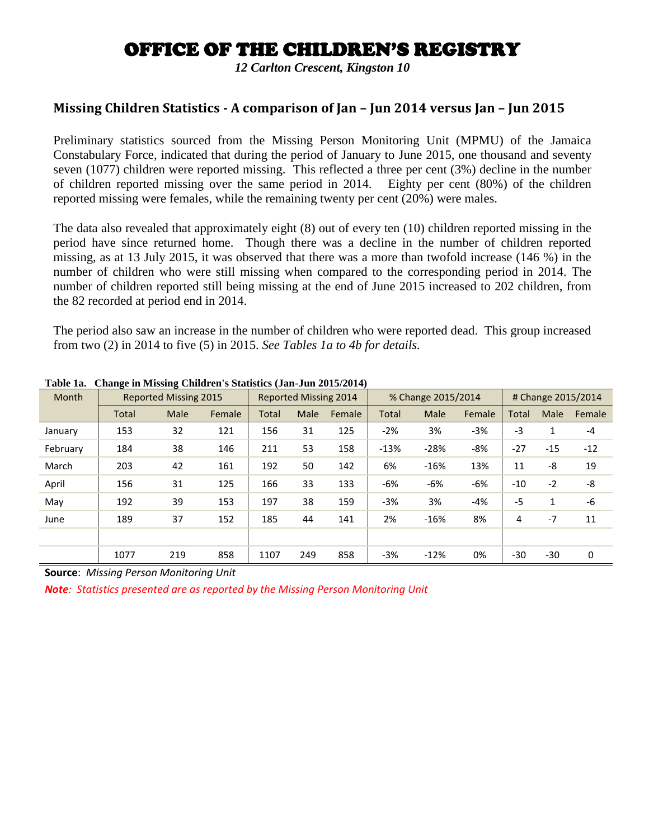*12 Carlton Crescent, Kingston 10*

### **Missing Children Statistics - A comparison of Jan – Jun 2014 versus Jan – Jun 2015**

Preliminary statistics sourced from the Missing Person Monitoring Unit (MPMU) of the Jamaica Constabulary Force, indicated that during the period of January to June 2015, one thousand and seventy seven (1077) children were reported missing. This reflected a three per cent (3%) decline in the number of children reported missing over the same period in 2014. Eighty per cent (80%) of the children reported missing were females, while the remaining twenty per cent (20%) were males.

The data also revealed that approximately eight (8) out of every ten (10) children reported missing in the period have since returned home. Though there was a decline in the number of children reported missing, as at 13 July 2015, it was observed that there was a more than twofold increase (146 %) in the number of children who were still missing when compared to the corresponding period in 2014. The number of children reported still being missing at the end of June 2015 increased to 202 children, from the 82 recorded at period end in 2014.

The period also saw an increase in the number of children who were reported dead. This group increased from two (2) in 2014 to five (5) in 2015. *See Tables 1a to 4b for details.*

| Month    | <b>Reported Missing 2015</b> |      |        | <b>Reported Missing 2014</b> |      |        | % Change 2015/2014 |        |        | # Change 2015/2014 |       |             |
|----------|------------------------------|------|--------|------------------------------|------|--------|--------------------|--------|--------|--------------------|-------|-------------|
|          | <b>Total</b>                 | Male | Female | <b>Total</b>                 | Male | Female | <b>Total</b>       | Male   | Female | <b>Total</b>       | Male  | Female      |
| January  | 153                          | 32   | 121    | 156                          | 31   | 125    | $-2%$              | 3%     | $-3%$  | -3                 |       | $-4$        |
| February | 184                          | 38   | 146    | 211                          | 53   | 158    | $-13%$             | $-28%$ | $-8%$  | $-27$              | $-15$ | $-12$       |
| March    | 203                          | 42   | 161    | 192                          | 50   | 142    | 6%                 | $-16%$ | 13%    | 11                 | -8    | 19          |
| April    | 156                          | 31   | 125    | 166                          | 33   | 133    | $-6%$              | $-6%$  | $-6%$  | $-10$              | $-2$  | -8          |
| May      | 192                          | 39   | 153    | 197                          | 38   | 159    | $-3%$              | 3%     | $-4%$  | $-5$               | 1     | $-6$        |
| June     | 189                          | 37   | 152    | 185                          | 44   | 141    | 2%                 | $-16%$ | 8%     | 4                  | $-7$  | 11          |
|          |                              |      |        |                              |      |        |                    |        |        |                    |       |             |
|          | 1077                         | 219  | 858    | 1107                         | 249  | 858    | $-3%$              | $-12%$ | 0%     | $-30$              | $-30$ | $\mathbf 0$ |

**Table 1a. Change in Missing Children's Statistics (Jan-Jun 2015/2014)**

**Source**: *Missing Person Monitoring Unit*

*Note: Statistics presented are as reported by the Missing Person Monitoring Unit*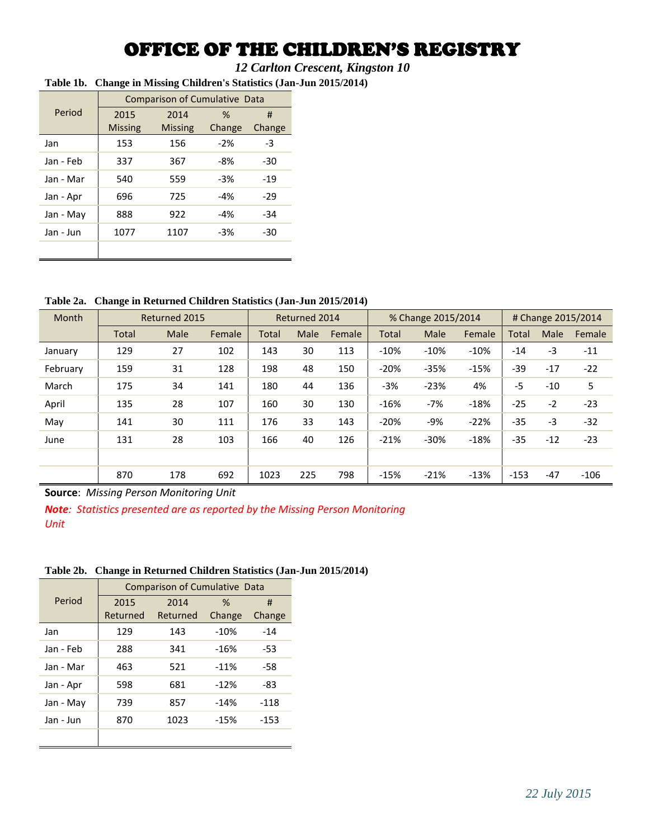*12 Carlton Crescent, Kingston 10*

**Table 1b. Change in Missing Children's Statistics (Jan-Jun 2015/2014)**

|           | Comparison of Cumulative Data |         |        |        |  |  |  |  |  |  |
|-----------|-------------------------------|---------|--------|--------|--|--|--|--|--|--|
| Period    | 2015                          | 2014    | $\%$   | #      |  |  |  |  |  |  |
|           | <b>Missing</b>                | Missing | Change | Change |  |  |  |  |  |  |
| Jan       | 153                           | 156     | $-2%$  | -3     |  |  |  |  |  |  |
| Jan - Feb | 337                           | 367     | -8%    | $-30$  |  |  |  |  |  |  |
| Jan - Mar | 540                           | 559     | $-3%$  | $-19$  |  |  |  |  |  |  |
| Jan - Apr | 696                           | 725     | $-4%$  | $-29$  |  |  |  |  |  |  |
| Jan - May | 888                           | 922     | $-4%$  | $-34$  |  |  |  |  |  |  |
| Jan - Jun | 1077                          | 1107    | $-3%$  | -30    |  |  |  |  |  |  |
|           |                               |         |        |        |  |  |  |  |  |  |

**Table 2a. Change in Returned Children Statistics (Jan-Jun 2015/2014)**

| Month    | Returned 2015 |      |        | Returned 2014 |      |        | % Change 2015/2014 |        |        | # Change 2015/2014 |       |        |
|----------|---------------|------|--------|---------------|------|--------|--------------------|--------|--------|--------------------|-------|--------|
|          | <b>Total</b>  | Male | Female | <b>Total</b>  | Male | Female | <b>Total</b>       | Male   | Female | <b>Total</b>       | Male  | Female |
| January  | 129           | 27   | 102    | 143           | 30   | 113    | $-10%$             | $-10%$ | $-10%$ | $-14$              | $-3$  | $-11$  |
| February | 159           | 31   | 128    | 198           | 48   | 150    | $-20%$             | $-35%$ | $-15%$ | -39                | $-17$ | $-22$  |
| March    | 175           | 34   | 141    | 180           | 44   | 136    | $-3%$              | $-23%$ | 4%     | $-5$               | $-10$ | 5      |
| April    | 135           | 28   | 107    | 160           | 30   | 130    | $-16%$             | $-7%$  | $-18%$ | $-25$              | $-2$  | $-23$  |
| May      | 141           | 30   | 111    | 176           | 33   | 143    | $-20%$             | $-9%$  | $-22%$ | $-35$              | $-3$  | $-32$  |
| June     | 131           | 28   | 103    | 166           | 40   | 126    | $-21%$             | $-30%$ | $-18%$ | $-35$              | $-12$ | $-23$  |
|          |               |      |        |               |      |        |                    |        |        |                    |       |        |
|          | 870           | 178  | 692    | 1023          | 225  | 798    | $-15%$             | $-21%$ | $-13%$ | $-153$             | $-47$ | $-106$ |

**Source**: *Missing Person Monitoring Unit*

*Note: Statistics presented are as reported by the Missing Person Monitoring Unit*

**Table 2b. Change in Returned Children Statistics (Jan-Jun 2015/2014)**

|           | Comparison of Cumulative Data |          |        |        |  |  |  |  |  |  |  |
|-----------|-------------------------------|----------|--------|--------|--|--|--|--|--|--|--|
| Period    | 2015                          | 2014     | $\%$   | #      |  |  |  |  |  |  |  |
|           | Returned                      | Returned | Change | Change |  |  |  |  |  |  |  |
| Jan       | 129                           | 143      | $-10%$ | $-14$  |  |  |  |  |  |  |  |
| Jan - Feb | 288                           | 341      | $-16%$ | $-53$  |  |  |  |  |  |  |  |
| Jan - Mar | 463                           | 521      | $-11%$ | -58    |  |  |  |  |  |  |  |
| Jan - Apr | 598                           | 681      | $-12%$ | -83    |  |  |  |  |  |  |  |
| Jan - May | 739                           | 857      | $-14%$ | $-118$ |  |  |  |  |  |  |  |
| Jan - Jun | 870                           | 1023     | $-15%$ | $-153$ |  |  |  |  |  |  |  |
|           |                               |          |        |        |  |  |  |  |  |  |  |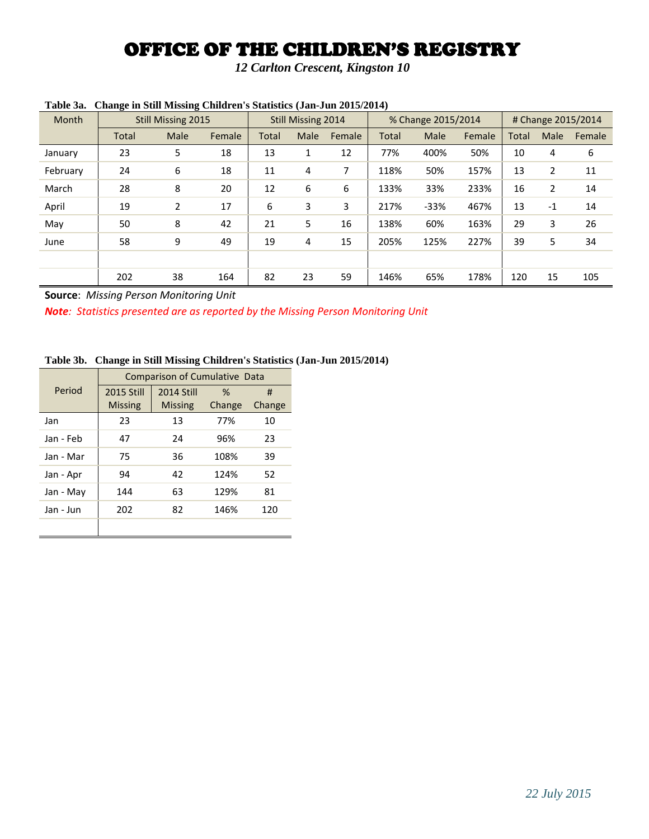*12 Carlton Crescent, Kingston 10*

| runiv vui |              |                    | Change in built missing Children s buansites (built built 2010/2014) |       |                           |        |                    |        |        |                    |             |        |
|-----------|--------------|--------------------|----------------------------------------------------------------------|-------|---------------------------|--------|--------------------|--------|--------|--------------------|-------------|--------|
| Month     |              | Still Missing 2015 |                                                                      |       | <b>Still Missing 2014</b> |        | % Change 2015/2014 |        |        | # Change 2015/2014 |             |        |
|           | <b>Total</b> | Male               | Female                                                               | Total | Male                      | Female | Total              | Male   | Female | Total              | <b>Male</b> | Female |
| January   | 23           | 5                  | 18                                                                   | 13    | 1                         | 12     | 77%                | 400%   | 50%    | 10                 | 4           | 6      |
| February  | 24           | 6                  | 18                                                                   | 11    | 4                         | 7      | 118%               | 50%    | 157%   | 13                 | 2           | 11     |
| March     | 28           | 8                  | 20                                                                   | 12    | 6                         | 6      | 133%               | 33%    | 233%   | 16                 | 2           | 14     |
| April     | 19           | 2                  | 17                                                                   | 6     | 3                         | 3      | 217%               | $-33%$ | 467%   | 13                 | $-1$        | 14     |
| May       | 50           | 8                  | 42                                                                   | 21    | 5                         | 16     | 138%               | 60%    | 163%   | 29                 | 3           | 26     |
| June      | 58           | 9                  | 49                                                                   | 19    | 4                         | 15     | 205%               | 125%   | 227%   | 39                 | 5           | 34     |
|           |              |                    |                                                                      |       |                           |        |                    |        |        |                    |             |        |
|           | 202          | 38                 | 164                                                                  | 82    | 23                        | 59     | 146%               | 65%    | 178%   | 120                | 15          | 105    |

### **Table 3a. Change in Still Missing Children's Statistics (Jan-Jun 2015/2014)**

**Source**: *Missing Person Monitoring Unit*

*Note: Statistics presented are as reported by the Missing Person Monitoring Unit*

#### **Table 3b. Change in Still Missing Children's Statistics (Jan-Jun 2015/2014)**

|           | Comparison of Cumulative Data |                   |        |        |  |  |  |  |  |
|-----------|-------------------------------|-------------------|--------|--------|--|--|--|--|--|
| Period    | <b>2015 Still</b>             | <b>2014 Still</b> | $\%$   | #      |  |  |  |  |  |
|           | <b>Missing</b>                | <b>Missing</b>    | Change | Change |  |  |  |  |  |
| Jan       | 23                            | 13                | 77%    | 10     |  |  |  |  |  |
| Jan - Feb | 47                            | 24                | 96%    | 23     |  |  |  |  |  |
| Jan - Mar | 75                            | 36                | 108%   | 39     |  |  |  |  |  |
| Jan - Apr | 94                            | 42                | 124%   | 52     |  |  |  |  |  |
| Jan - May | 144                           | 63                | 129%   | 81     |  |  |  |  |  |
| Jan - Jun | 202                           | 82                | 146%   | 120    |  |  |  |  |  |
|           |                               |                   |        |        |  |  |  |  |  |